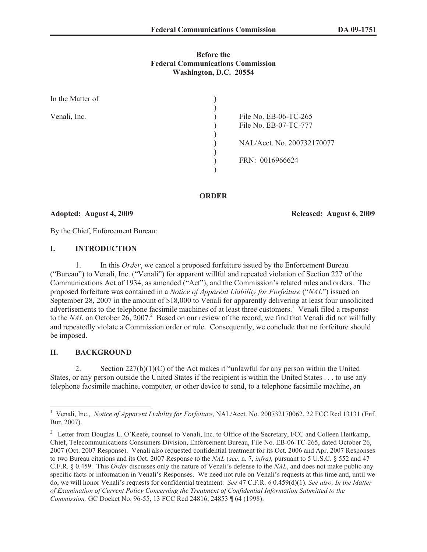## **Before the Federal Communications Commission Washington, D.C. 20554**

| In the Matter of |                            |  |
|------------------|----------------------------|--|
|                  |                            |  |
| Venali, Inc.     | File No. EB-06-TC-265      |  |
|                  | File No. EB-07-TC-777      |  |
|                  |                            |  |
|                  | NAL/Acct. No. 200732170077 |  |
|                  |                            |  |
|                  | FRN: 0016966624            |  |
|                  |                            |  |

## **ORDER**

**Adopted: August 4, 2009 Released: August 6, 2009**

By the Chief, Enforcement Bureau:

## **I. INTRODUCTION**

1. In this *Order*, we cancel a proposed forfeiture issued by the Enforcement Bureau ("Bureau") to Venali, Inc. ("Venali") for apparent willful and repeated violation of Section 227 of the Communications Act of 1934, as amended ("Act"), and the Commission's related rules and orders. The proposed forfeiture was contained in a *Notice of Apparent Liability for Forfeiture* ("*NAL*") issued on September 28, 2007 in the amount of \$18,000 to Venali for apparently delivering at least four unsolicited advertisements to the telephone facsimile machines of at least three customers.<sup>1</sup> Venali filed a response to the *NAL* on October 26, 2007.<sup>2</sup> Based on our review of the record, we find that Venali did not willfully and repeatedly violate a Commission order or rule. Consequently, we conclude that no forfeiture should be imposed.

# **II. BACKGROUND**

2. Section  $227(b)(1)(C)$  of the Act makes it "unlawful for any person within the United States, or any person outside the United States if the recipient is within the United States . . . to use any telephone facsimile machine, computer, or other device to send, to a telephone facsimile machine, an

<sup>&</sup>lt;sup>1</sup> Venali, Inc., *Notice of Apparent Liability for Forfeiture*, NAL/Acct. No. 200732170062, 22 FCC Rcd 13131 (Enf. Bur. 2007).

<sup>&</sup>lt;sup>2</sup> Letter from Douglas L. O'Keefe, counsel to Venali, Inc. to Office of the Secretary, FCC and Colleen Heitkamp, Chief, Telecommunications Consumers Division, Enforcement Bureau, File No. EB-06-TC-265, dated October 26, 2007 (Oct. 2007 Response). Venali also requested confidential treatment for its Oct. 2006 and Apr. 2007 Responses to two Bureau citations and its Oct. 2007 Response to the *NAL* (*see,* n. 7, *infra),* pursuant to 5 U.S.C. § 552 and 47 C.F.R. § 0.459. This *Order* discusses only the nature of Venali's defense to the *NAL*, and does not make public any specific facts or information in Venali's Responses. We need not rule on Venali's requests at this time and, until we do, we will honor Venali's requests for confidential treatment. *See* 47 C.F.R. § 0.459(d)(1). *See also, In the Matter of Examination of Current Policy Concerning the Treatment of Confidential Information Submitted to the Commission,* GC Docket No. 96-55, 13 FCC Rcd 24816, 24853 ¶ 64 (1998).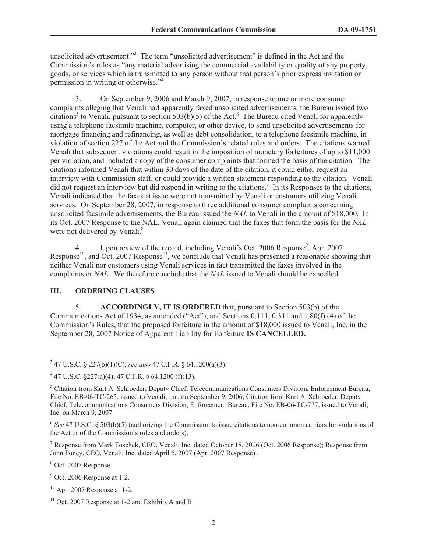unsolicited advertisement." <sup>3</sup> The term "unsolicited advertisement" is defined in the Act and the Commission's rules as "any material advertising the commercial availability or quality of any property, goods, or services which is transmitted to any person without that person's prior express invitation or permission in writing or otherwise."<sup>4</sup>

3. On September 9, 2006 and March 9, 2007, in response to one or more consumer complaints alleging that Venali had apparently faxed unsolicited advertisements, the Bureau issued two citations<sup>5</sup> to Venali, pursuant to section 503(b)(5) of the Act.<sup>6</sup> The Bureau cited Venali for apparently using a telephone facsimile machine, computer, or other device, to send unsolicited advertisements for mortgage financing and refinancing, as well as debt consolidation, to a telephone facsimile machine, in violation of section 227 of the Act and the Commission's related rules and orders. The citations warned Venali that subsequent violations could result in the imposition of monetary forfeitures of up to \$11,000 per violation, and included a copy of the consumer complaints that formed the basis of the citation. The citations informed Venali that within 30 days of the date of the citation, it could either request an interview with Commission staff, or could provide a written statement responding to the citation. Venali did not request an interview but did respond in writing to the citations.<sup>7</sup> In its Responses to the citations, Venali indicated that the faxes at issue were not transmitted by Venali or customers utilizing Venali services. On September 28, 2007, in response to three additional consumer complaints concerning unsolicited facsimile advertisements, the Bureau issued the *NAL* to Venali in the amount of \$18,000. In its Oct. 2007 Response to the NAL, Venali again claimed that the faxes that form the basis for the *NAL* were not delivered by Venali.<sup>8</sup>

4. Upon review of the record, including Venali's Oct. 2006 Response<sup>9</sup>, Apr. 2007 Response<sup>10</sup>, and Oct. 2007 Response<sup>11</sup>, we conclude that Venali has presented a reasonable showing that neither Venali nor customers using Venali services in fact transmitted the faxes involved in the complaints or *NAL*. We therefore conclude that the *NAL* issued to Venali should be cancelled.

# **III. ORDERING CLAUSES**

5. **ACCORDINGLY, IT IS ORDERED** that, pursuant to Section 503(b) of the Communications Act of 1934, as amended ("Act"), and Sections 0.111, 0.311 and 1.80(f) (4) of the Commission's Rules, that the proposed forfeiture in the amount of \$18,000 issued to Venali, Inc. in the September 28, 2007 Notice of Apparent Liability for Forfeiture **IS CANCELLED.**

<sup>7</sup> Response from Mark Toschek, CEO, Venali, Inc. dated October 18, 2006 (Oct. 2006 Response); Response from John Poncy, CEO, Venali, Inc. dated April 6, 2007 (Apr. 2007 Response) .

<sup>8</sup> Oct. 2007 Response.

 $9$  Oct. 2006 Response at 1-2.

<sup>3</sup> 47 U.S.C. § 227(b)(1)(C); *see also* 47 C.F.R. § 64.1200(a)(3).

 $4$  47 U.S.C. §227(a)(4); 47 C.F.R. § 64.1200 (f)(13).

<sup>5</sup> Citation from Kurt A. Schroeder, Deputy Chief, Telecommunications Consumers Division, Enforcement Bureau, File No. EB-06-TC-265, issued to Venali, Inc. on September 9, 2006; Citation from Kurt A. Schroeder, Deputy Chief, Telecommunications Consumers Division, Enforcement Bureau, File No. EB-06-TC-777, issued to Venali, Inc. on March 9, 2007.

<sup>6</sup> *See* 47 U.S.C. § 503(b)(5) (authorizing the Commission to issue citations to non-common carriers for violations of the Act or of the Commission's rules and orders).

 $10$  Apr. 2007 Response at 1-2.

 $11$  Oct. 2007 Response at 1-2 and Exhibits A and B.